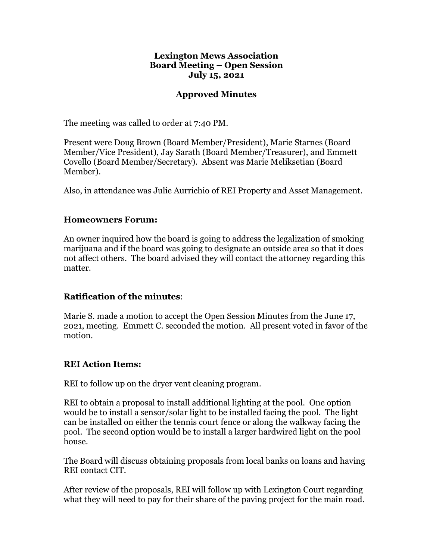#### **Lexington Mews Association Board Meeting – Open Session July 15, 2021**

## **Approved Minutes**

The meeting was called to order at 7:40 PM.

Present were Doug Brown (Board Member/President), Marie Starnes (Board Member/Vice President), Jay Sarath (Board Member/Treasurer), and Emmett Covello (Board Member/Secretary). Absent was Marie Meliksetian (Board Member).

Also, in attendance was Julie Aurrichio of REI Property and Asset Management.

### **Homeowners Forum:**

An owner inquired how the board is going to address the legalization of smoking marijuana and if the board was going to designate an outside area so that it does not affect others. The board advised they will contact the attorney regarding this matter.

### **Ratification of the minutes**:

Marie S. made a motion to accept the Open Session Minutes from the June 17, 2021, meeting. Emmett C. seconded the motion. All present voted in favor of the motion.

### **REI Action Items:**

REI to follow up on the dryer vent cleaning program.

REI to obtain a proposal to install additional lighting at the pool. One option would be to install a sensor/solar light to be installed facing the pool. The light can be installed on either the tennis court fence or along the walkway facing the pool. The second option would be to install a larger hardwired light on the pool house.

The Board will discuss obtaining proposals from local banks on loans and having REI contact CIT.

After review of the proposals, REI will follow up with Lexington Court regarding what they will need to pay for their share of the paving project for the main road.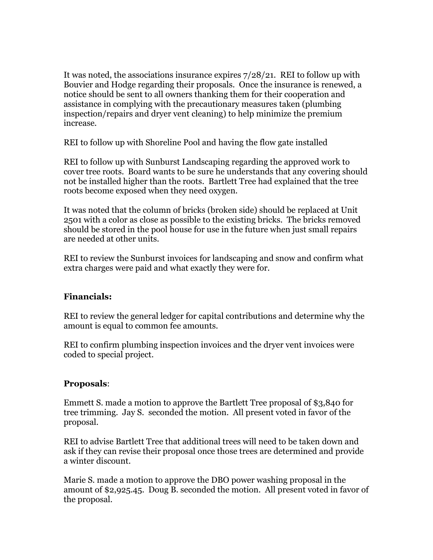It was noted, the associations insurance expires 7/28/21. REI to follow up with Bouvier and Hodge regarding their proposals. Once the insurance is renewed, a notice should be sent to all owners thanking them for their cooperation and assistance in complying with the precautionary measures taken (plumbing inspection/repairs and dryer vent cleaning) to help minimize the premium increase.

REI to follow up with Shoreline Pool and having the flow gate installed

REI to follow up with Sunburst Landscaping regarding the approved work to cover tree roots. Board wants to be sure he understands that any covering should not be installed higher than the roots. Bartlett Tree had explained that the tree roots become exposed when they need oxygen.

It was noted that the column of bricks (broken side) should be replaced at Unit 2501 with a color as close as possible to the existing bricks. The bricks removed should be stored in the pool house for use in the future when just small repairs are needed at other units.

REI to review the Sunburst invoices for landscaping and snow and confirm what extra charges were paid and what exactly they were for.

### **Financials:**

REI to review the general ledger for capital contributions and determine why the amount is equal to common fee amounts.

REI to confirm plumbing inspection invoices and the dryer vent invoices were coded to special project.

### **Proposals**:

Emmett S. made a motion to approve the Bartlett Tree proposal of \$3,840 for tree trimming. Jay S. seconded the motion. All present voted in favor of the proposal.

REI to advise Bartlett Tree that additional trees will need to be taken down and ask if they can revise their proposal once those trees are determined and provide a winter discount.

Marie S. made a motion to approve the DBO power washing proposal in the amount of \$2,925.45. Doug B. seconded the motion. All present voted in favor of the proposal.